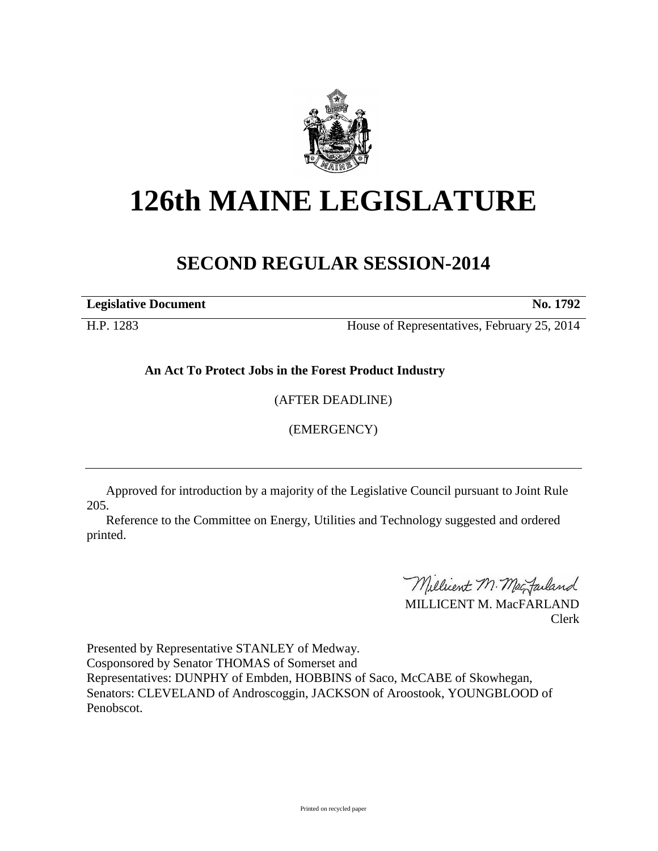

## **126th MAINE LEGISLATURE**

## **SECOND REGULAR SESSION-2014**

**Legislative Document No. 1792**

H.P. 1283 House of Representatives, February 25, 2014

**An Act To Protect Jobs in the Forest Product Industry**

(AFTER DEADLINE)

(EMERGENCY)

Approved for introduction by a majority of the Legislative Council pursuant to Joint Rule 205.

Reference to the Committee on Energy, Utilities and Technology suggested and ordered printed.

Millicent M. MacJarland

MILLICENT M. MacFARLAND Clerk

Presented by Representative STANLEY of Medway. Cosponsored by Senator THOMAS of Somerset and Representatives: DUNPHY of Embden, HOBBINS of Saco, McCABE of Skowhegan, Senators: CLEVELAND of Androscoggin, JACKSON of Aroostook, YOUNGBLOOD of Penobscot.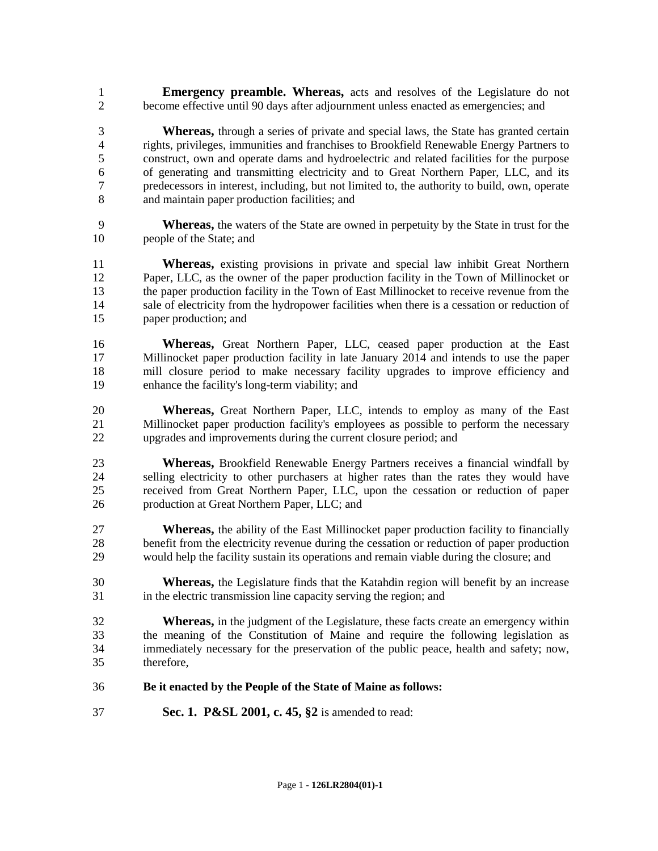**Emergency preamble. Whereas,** acts and resolves of the Legislature do not become effective until 90 days after adjournment unless enacted as emergencies; and

 **Whereas,** through a series of private and special laws, the State has granted certain rights, privileges, immunities and franchises to Brookfield Renewable Energy Partners to construct, own and operate dams and hydroelectric and related facilities for the purpose of generating and transmitting electricity and to Great Northern Paper, LLC, and its predecessors in interest, including, but not limited to, the authority to build, own, operate and maintain paper production facilities; and

 **Whereas,** the waters of the State are owned in perpetuity by the State in trust for the people of the State; and

 **Whereas,** existing provisions in private and special law inhibit Great Northern Paper, LLC, as the owner of the paper production facility in the Town of Millinocket or the paper production facility in the Town of East Millinocket to receive revenue from the sale of electricity from the hydropower facilities when there is a cessation or reduction of paper production; and

 **Whereas,** Great Northern Paper, LLC, ceased paper production at the East Millinocket paper production facility in late January 2014 and intends to use the paper mill closure period to make necessary facility upgrades to improve efficiency and enhance the facility's long-term viability; and

 **Whereas,** Great Northern Paper, LLC, intends to employ as many of the East Millinocket paper production facility's employees as possible to perform the necessary upgrades and improvements during the current closure period; and

 **Whereas,** Brookfield Renewable Energy Partners receives a financial windfall by selling electricity to other purchasers at higher rates than the rates they would have received from Great Northern Paper, LLC, upon the cessation or reduction of paper production at Great Northern Paper, LLC; and

**Whereas,** the ability of the East Millinocket paper production facility to financially benefit from the electricity revenue during the cessation or reduction of paper production would help the facility sustain its operations and remain viable during the closure; and

 **Whereas,** the Legislature finds that the Katahdin region will benefit by an increase in the electric transmission line capacity serving the region; and

 **Whereas,** in the judgment of the Legislature, these facts create an emergency within the meaning of the Constitution of Maine and require the following legislation as immediately necessary for the preservation of the public peace, health and safety; now, therefore,

## **Be it enacted by the People of the State of Maine as follows:**

**Sec. 1. P&SL 2001, c. 45, §2** is amended to read: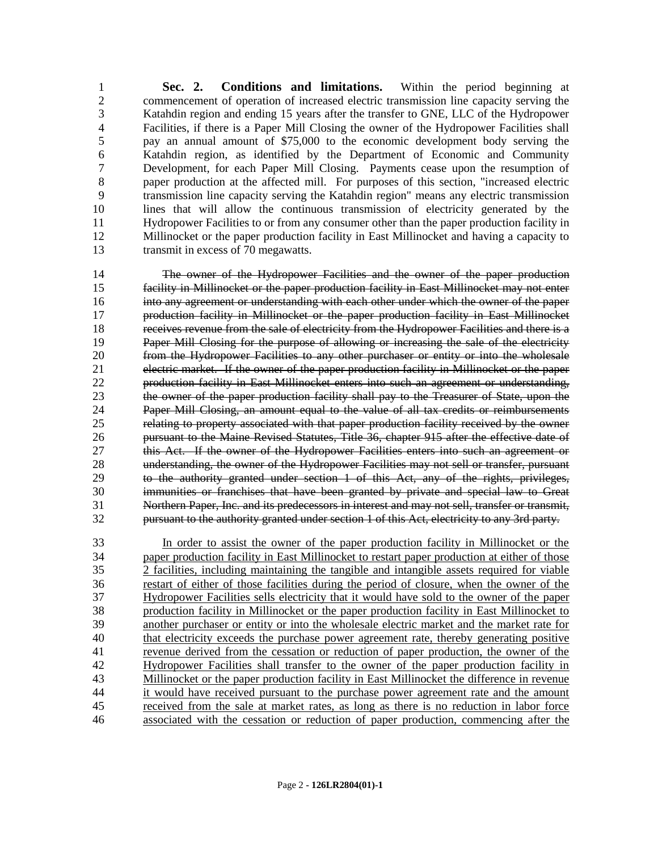**Sec. 2. Conditions and limitations.** Within the period beginning at 2 commencement of operation of increased electric transmission line capacity serving the<br>3 Katahdin region and ending 15 years after the transfer to GNE. LLC of the Hydronower Katahdin region and ending 15 years after the transfer to GNE, LLC of the Hydropower Facilities, if there is a Paper Mill Closing the owner of the Hydropower Facilities shall pay an annual amount of \$75,000 to the economic development body serving the Katahdin region, as identified by the Department of Economic and Community Development, for each Paper Mill Closing. Payments cease upon the resumption of paper production at the affected mill. For purposes of this section, "increased electric transmission line capacity serving the Katahdin region" means any electric transmission lines that will allow the continuous transmission of electricity generated by the Hydropower Facilities to or from any consumer other than the paper production facility in Millinocket or the paper production facility in East Millinocket and having a capacity to transmit in excess of 70 megawatts.

 The owner of the Hydropower Facilities and the owner of the paper production facility in Millinocket or the paper production facility in East Millinocket may not enter into any agreement or understanding with each other under which the owner of the paper production facility in Millinocket or the paper production facility in East Millinocket receives revenue from the sale of electricity from the Hydropower Facilities and there is a Paper Mill Closing for the purpose of allowing or increasing the sale of the electricity from the Hydropower Facilities to any other purchaser or entity or into the wholesale electric market. If the owner of the paper production facility in Millinocket or the paper production facility in East Millinocket enters into such an agreement or understanding, the owner of the paper production facility shall pay to the Treasurer of State, upon the Paper Mill Closing, an amount equal to the value of all tax credits or reimbursements relating to property associated with that paper production facility received by the owner 26 pursuant to the Maine Revised Statutes, Title 36, chapter 915 after the effective date of 27 this Act. If the owner of the Hydropower Facilities enters into such an agreement or this Act. If the owner of the Hydropower Facilities enters into such an agreement or understanding, the owner of the Hydropower Facilities may not sell or transfer, pursuant to the authority granted under section 1 of this Act, any of the rights, privileges, immunities or franchises that have been granted by private and special law to Great Northern Paper, Inc. and its predecessors in interest and may not sell, transfer or transmit, pursuant to the authority granted under section 1 of this Act, electricity to any 3rd party.

 In order to assist the owner of the paper production facility in Millinocket or the paper production facility in East Millinocket to restart paper production at either of those 35 2 facilities, including maintaining the tangible and intangible assets required for viable<br>36 36 setart of either of those facilities during the period of closure, when the owner of the **restart of either of those facilities during the period of closure, when the owner of the 37**<br>37 **Hydropower Facilities sells electricity that it would have sold to the owner of the paper** Hydropower Facilities sells electricity that it would have sold to the owner of the paper production facility in Millinocket or the paper production facility in East Millinocket to another purchaser or entity or into the wholesale electric market and the market rate for 40 that electricity exceeds the purchase power agreement rate, thereby generating positive revenue derived from the cessation or reduction of paper production, the owner of the Hydropower Facilities shall transfer to the owner of the paper production facility in Millinocket or the paper production facility in East Millinocket the difference in revenue it would have received pursuant to the purchase power agreement rate and the amount received from the sale at market rates, as long as there is no reduction in labor force associated with the cessation or reduction of paper production, commencing after the